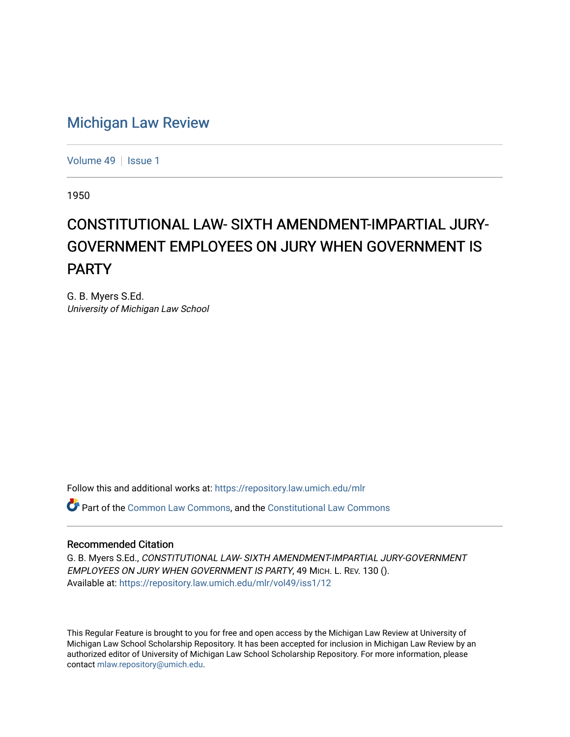## [Michigan Law Review](https://repository.law.umich.edu/mlr)

[Volume 49](https://repository.law.umich.edu/mlr/vol49) | [Issue 1](https://repository.law.umich.edu/mlr/vol49/iss1)

1950

## CONSTITUTIONAL LAW- SIXTH AMENDMENT-IMPARTIAL JURY-GOVERNMENT EMPLOYEES ON JURY WHEN GOVERNMENT IS PARTY

G. B. Myers S.Ed. University of Michigan Law School

Follow this and additional works at: [https://repository.law.umich.edu/mlr](https://repository.law.umich.edu/mlr?utm_source=repository.law.umich.edu%2Fmlr%2Fvol49%2Fiss1%2F12&utm_medium=PDF&utm_campaign=PDFCoverPages) 

Part of the [Common Law Commons,](http://network.bepress.com/hgg/discipline/1120?utm_source=repository.law.umich.edu%2Fmlr%2Fvol49%2Fiss1%2F12&utm_medium=PDF&utm_campaign=PDFCoverPages) and the [Constitutional Law Commons](http://network.bepress.com/hgg/discipline/589?utm_source=repository.law.umich.edu%2Fmlr%2Fvol49%2Fiss1%2F12&utm_medium=PDF&utm_campaign=PDFCoverPages)

## Recommended Citation

G. B. Myers S.Ed., CONSTITUTIONAL LAW- SIXTH AMENDMENT-IMPARTIAL JURY-GOVERNMENT EMPLOYEES ON JURY WHEN GOVERNMENT IS PARTY, 49 MICH. L. REV. 130 (). Available at: [https://repository.law.umich.edu/mlr/vol49/iss1/12](https://repository.law.umich.edu/mlr/vol49/iss1/12?utm_source=repository.law.umich.edu%2Fmlr%2Fvol49%2Fiss1%2F12&utm_medium=PDF&utm_campaign=PDFCoverPages) 

This Regular Feature is brought to you for free and open access by the Michigan Law Review at University of Michigan Law School Scholarship Repository. It has been accepted for inclusion in Michigan Law Review by an authorized editor of University of Michigan Law School Scholarship Repository. For more information, please contact [mlaw.repository@umich.edu](mailto:mlaw.repository@umich.edu).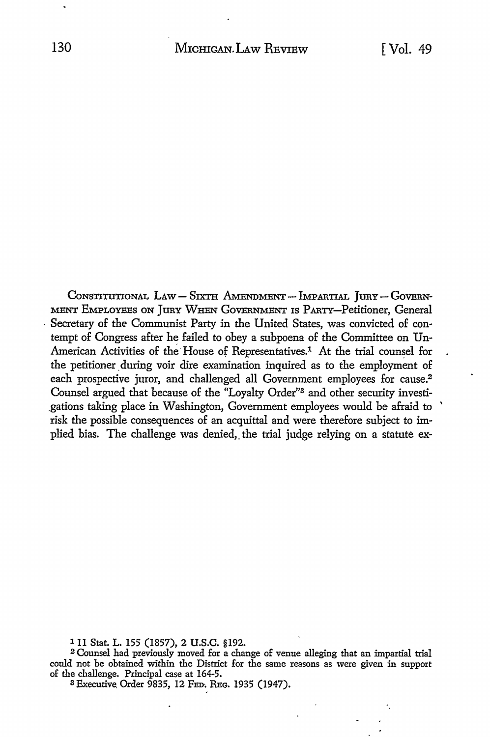CONSTITUTIONAL LAW-SIXTH AMENDMENT-IMPARTIAL JURY-GOVERN-MENT EMPLOYEES ON JURY WHEN GOVERNMENT IS PARTY-Petitioner, General • Secretary of the Communist Party in the United States, was convicted of contempt of Congress after he failed to obey a subpoena of the Committee on Un-American Activities of the House of Representatives.<sup>1</sup> At the trial counsel for the petitioner during voir dire examination inquired as to the employment of each prospective juror, and challenged all Government employees for cause.<sup>2</sup> Counsel argued that because of the "Loyalty Order"3 and other security investi- \_gations taking place in Washington, Government employees would be afraid to ' risk the possible consequences of an acquittal and were therefore subject to implied bias. The challenge was denied, the trial judge relying on a statute ex-

111 Stat. L. 155 (1857), 2 U.S.C. §192.

<sup>2</sup>Counsel had previously moved for a change of venue alleging that an impartial trial could not be obtained within the District for the same reasons as were given in support of the challenge. Principal case at 164-5.

3 Executive. Order 9835, 12 FED. REG, 1935 (1947).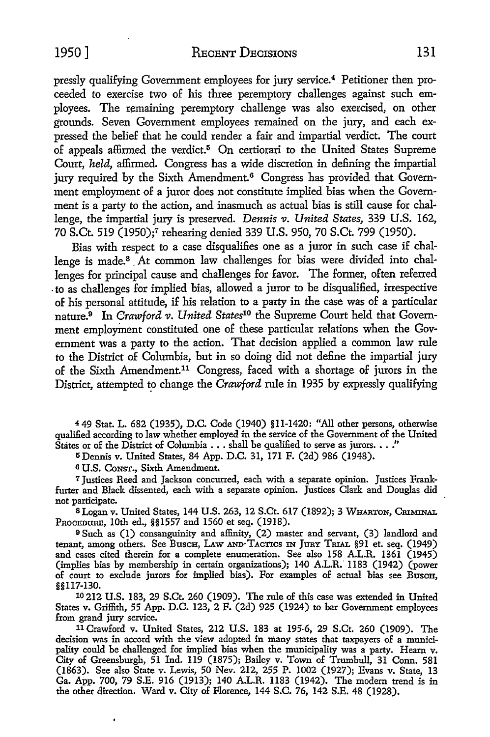pressly qualifying Government employees for jury service.4 Petitioner then proceeded to exercise two of his three peremptory challenges against such employees. The remaining peremptory challenge was also exercised, on other grounds. Seven Government employees remained on the jury, and each expressed the belief that he could render a fair and impartial verdict. The court of appeals affirmed the verdict.<sup>5</sup> On certiorari to the United States Supreme Court, *held,* affirmed. Congress has a wide discretion in defining the impartial jury required by the Sixth Amendment.<sup>6</sup> Congress has provided that Government employment of a juror does not constitute implied bias when the Government is a party to the action, and inasmuch as actual bias is still cause for challenge, the impartial jury is preserved. *Dennis v. United States,* 339 U.S. 162, 70 S.Ct. 519 (1950);7 rehearing denied 339 U.S. 950, 70 S.Ct. 799 (1950).

Bias with respect to a case disqualifies one as a juror in such case if challenge is made.<sup>8</sup> At common law challenges for bias were divided into challenges for principal cause and challenges for favor. The former, often referred . to as challenges for implied bias, allowed a juror to be disqualified, irrespective of his personal attitude, if his relation to a party in the case was of a particular nature.9 In *Crawford v. United States10* the Supreme Court held that Government employment constituted one of these particular relations when the Government was a party to the action. That decision applied a common law rule to the District of Columbia, but in so doing did not define the impartial jury of the Sixth Amendment.11 Congress, faced with a shortage of jurors in the District, attempted to change the *Crawford* rule in 1935 by expressly qualifying

4 49 Stat. L. 682 (1935), D.C. Code (1940) §11-1420: "All other persons, otherwise qualified according to law whether employed in the service of the Government of the United States or of the District of Columbia  $\ldots$  shall be qualified to serve as jurors.  $\ldots$ ."

IS Dennis v. United States, 84 App. D.C. 31, 171 F. (2d) 986 (1948).

<sup>6</sup>U.S. CoNsT., Sixth Amendment.

7 Justices Reed and Jackson concurred, each with a separate opinion. Justices Frankfurter and Black dissented, each with a separate opinion. Justices Clark and Douglas did not participate.

8 Logan v. United States, 144 U.S. 263, 12 S.Ct. 617 (1892); 3 WHARTON, CRIMINAL PROCEDURE, 10th ed., §§1557 and 1560 et seq. (1918).

<sup>9</sup>Such as (I) consanguinity and affinity, (2) master and servant, (3) landlord and tenant, among others. See Busch, LAW AND TACTICS IN JURY TRIAL §91 et. seq. (1949) and cases cited therein for a complete enumeration. See also 158 A.L.R. 1361 (1945) (implies bias by membership in certain organizations); 140 A.L.R. 1183 (1942) (power of court to exclude jurors for implied bias). For examples of actual bias see BuscH, §§117-130.

10 212 U.S. 183, 29 S.Ct. 260 (1909). The rule of this case was extended in United States v. Griffith, 55 App. D.C. 123, 2 F. (2d) 925 (1924) to bar Government employees from grand jury service.

11 Crawford v. United States, 212 U.S. 183 at 195-6, 29 S.Ct. 260 (1909). The decision was in accord with the view adopted in many states that taxpayers of a municipality could be challenged for implied bias when the municipality was a party. Hearn v. City of Greensburgh, 51 Ind. 119 (1875); Bailey v. Town of Trumbull, 31 Conn. 581 (1863). See also State v. Lewis, 50 Nev. 212, 255 P. 1002 (1927); Evans v. State, 13 Ga. App. 700, 79 S.E. 916 (1913); 140 A.L.R. 1183 (1942). The modem trend is in the other direction. Ward v. City of Florence, 144 S.C. 76, 142 S.E. 48 (1928).